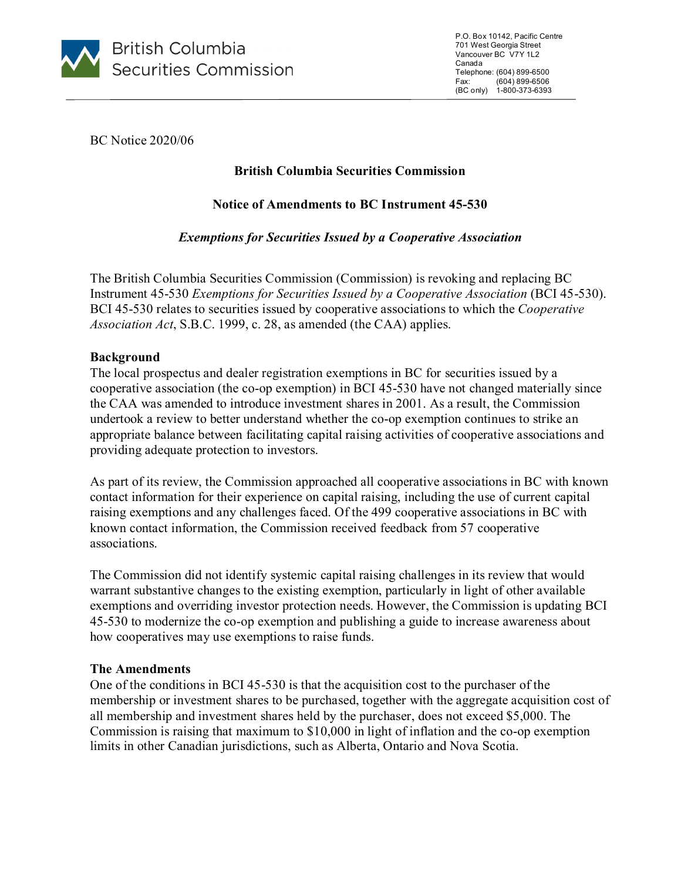

P.O. Box 10142, Pacific Centre 701 West Georgia Street Vancouver BC V7Y 1L2 Canada Telephone: (604) 899-6500 Fax: (604) 899-6506 (BC only) 1-800-373-6393

BC Notice 2020/06

# **British Columbia Securities Commission**

# **Notice of Amendments to BC Instrument 45-530**

# *Exemptions for Securities Issued by a Cooperative Association*

The British Columbia Securities Commission (Commission) is revoking and replacing BC Instrument 45-530 *Exemptions for Securities Issued by a Cooperative Association* (BCI 45-530). BCI 45-530 relates to securities issued by cooperative associations to which the *Cooperative Association Act*, S.B.C. 1999, c. 28, as amended (the CAA) applies.

### **Background**

The local prospectus and dealer registration exemptions in BC for securities issued by a cooperative association (the co-op exemption) in BCI 45-530 have not changed materially since the CAA was amended to introduce investment shares in 2001. As a result, the Commission undertook a review to better understand whether the co-op exemption continues to strike an appropriate balance between facilitating capital raising activities of cooperative associations and providing adequate protection to investors.

As part of its review, the Commission approached all cooperative associations in BC with known contact information for their experience on capital raising, including the use of current capital raising exemptions and any challenges faced. Of the 499 cooperative associations in BC with known contact information, the Commission received feedback from 57 cooperative associations.

The Commission did not identify systemic capital raising challenges in its review that would warrant substantive changes to the existing exemption, particularly in light of other available exemptions and overriding investor protection needs. However, the Commission is updating BCI 45-530 to modernize the co-op exemption and publishing a guide to increase awareness about how cooperatives may use exemptions to raise funds.

### **The Amendments**

One of the conditions in BCI 45-530 is that the acquisition cost to the purchaser of the membership or investment shares to be purchased, together with the aggregate acquisition cost of all membership and investment shares held by the purchaser, does not exceed \$5,000. The Commission is raising that maximum to \$10,000 in light of inflation and the co-op exemption limits in other Canadian jurisdictions, such as Alberta, Ontario and Nova Scotia.